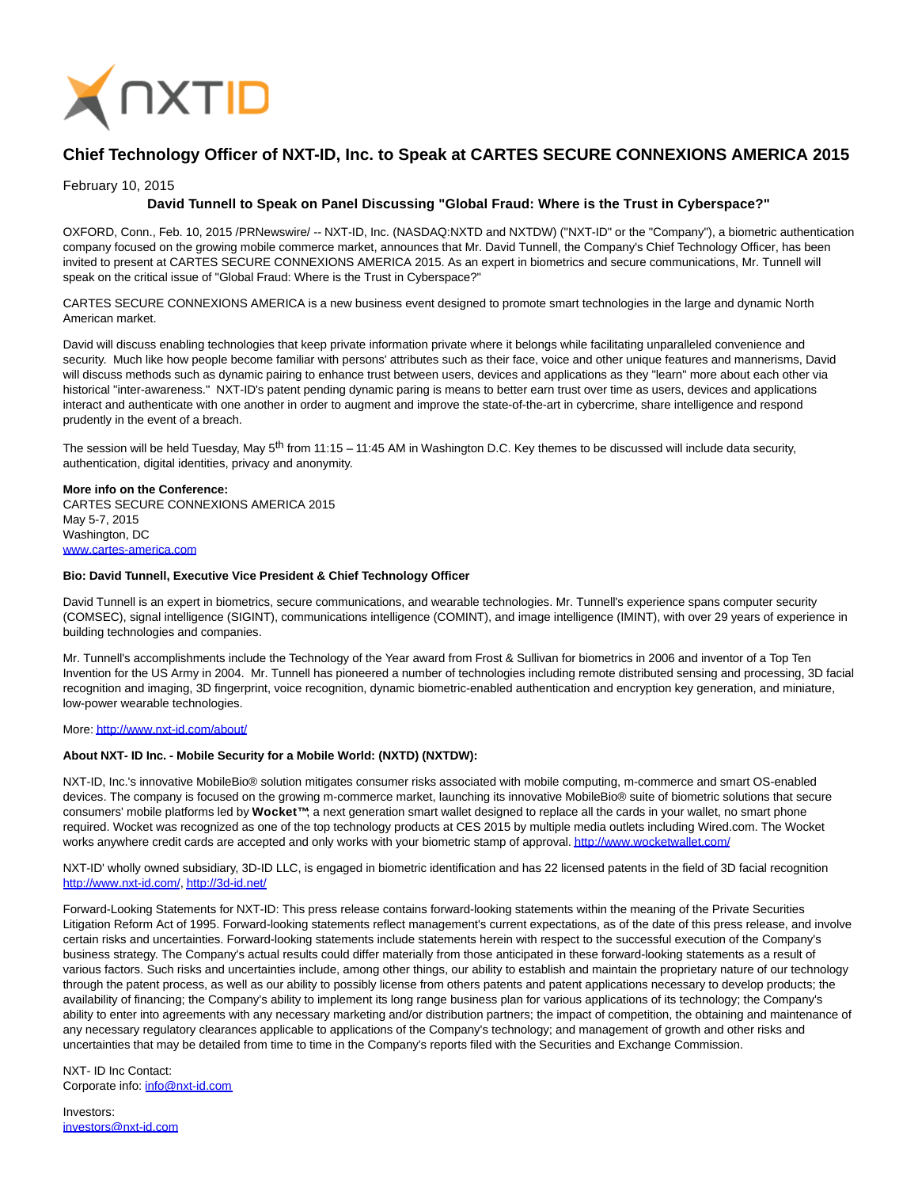

# **Chief Technology Officer of NXT-ID, Inc. to Speak at CARTES SECURE CONNEXIONS AMERICA 2015**

### February 10, 2015

## **David Tunnell to Speak on Panel Discussing "Global Fraud: Where is the Trust in Cyberspace?"**

OXFORD, Conn., Feb. 10, 2015 /PRNewswire/ -- NXT-ID, Inc. (NASDAQ:NXTD and NXTDW) ("NXT-ID" or the "Company"), a biometric authentication company focused on the growing mobile commerce market, announces that Mr. David Tunnell, the Company's Chief Technology Officer, has been invited to present at CARTES SECURE CONNEXIONS AMERICA 2015. As an expert in biometrics and secure communications, Mr. Tunnell will speak on the critical issue of "Global Fraud: Where is the Trust in Cyberspace?"

CARTES SECURE CONNEXIONS AMERICA is a new business event designed to promote smart technologies in the large and dynamic North American market.

David will discuss enabling technologies that keep private information private where it belongs while facilitating unparalleled convenience and security. Much like how people become familiar with persons' attributes such as their face, voice and other unique features and mannerisms, David will discuss methods such as dynamic pairing to enhance trust between users, devices and applications as they "learn" more about each other via historical "inter-awareness." NXT-ID's patent pending dynamic paring is means to better earn trust over time as users, devices and applications interact and authenticate with one another in order to augment and improve the state-of-the-art in cybercrime, share intelligence and respond prudently in the event of a breach.

The session will be held Tuesday, May  $5<sup>th</sup>$  from 11:15 – 11:45 AM in Washington D.C. Key themes to be discussed will include data security, authentication, digital identities, privacy and anonymity.

## **More info on the Conference:**

CARTES SECURE CONNEXIONS AMERICA 2015 May 5-7, 2015 Washington, DC [www.cartes-america.com](http://www.cartes-america.com/)

#### **Bio: David Tunnell, Executive Vice President & Chief Technology Officer**

David Tunnell is an expert in biometrics, secure communications, and wearable technologies. Mr. Tunnell's experience spans computer security (COMSEC), signal intelligence (SIGINT), communications intelligence (COMINT), and image intelligence (IMINT), with over 29 years of experience in building technologies and companies.

Mr. Tunnell's accomplishments include the Technology of the Year award from Frost & Sullivan for biometrics in 2006 and inventor of a Top Ten Invention for the US Army in 2004. Mr. Tunnell has pioneered a number of technologies including remote distributed sensing and processing, 3D facial recognition and imaging, 3D fingerprint, voice recognition, dynamic biometric-enabled authentication and encryption key generation, and miniature, low-power wearable technologies.

#### More[: http://www.nxt-id.com/about/](http://www.nxt-id.com/about/)

#### **About NXT- ID Inc. - Mobile Security for a Mobile World: (NXTD) (NXTDW):**

NXT-ID, Inc.'s innovative MobileBio® solution mitigates consumer risks associated with mobile computing, m-commerce and smart OS-enabled devices. The company is focused on the growing m-commerce market, launching its innovative MobileBio® suite of biometric solutions that secure consumers' mobile platforms led by **Wocket™**; a next generation smart wallet designed to replace all the cards in your wallet, no smart phone required. Wocket was recognized as one of the top technology products at CES 2015 by multiple media outlets including Wired.com. The Wocket works anywhere credit cards are accepted and only works with your biometric stamp of approval[. http://www.wocketwallet.com/](http://www.wocketwallet.com/)

NXT-ID' wholly owned subsidiary, 3D-ID LLC, is engaged in biometric identification and has 22 licensed patents in the field of 3D facial recognition [http://www.nxt-id.com/,](http://www.nxt-id.com/)<http://3d-id.net/>

Forward-Looking Statements for NXT-ID: This press release contains forward-looking statements within the meaning of the Private Securities Litigation Reform Act of 1995. Forward-looking statements reflect management's current expectations, as of the date of this press release, and involve certain risks and uncertainties. Forward-looking statements include statements herein with respect to the successful execution of the Company's business strategy. The Company's actual results could differ materially from those anticipated in these forward-looking statements as a result of various factors. Such risks and uncertainties include, among other things, our ability to establish and maintain the proprietary nature of our technology through the patent process, as well as our ability to possibly license from others patents and patent applications necessary to develop products; the availability of financing; the Company's ability to implement its long range business plan for various applications of its technology; the Company's ability to enter into agreements with any necessary marketing and/or distribution partners; the impact of competition, the obtaining and maintenance of any necessary regulatory clearances applicable to applications of the Company's technology; and management of growth and other risks and uncertainties that may be detailed from time to time in the Company's reports filed with the Securities and Exchange Commission.

NXT- ID Inc Contact: Corporate info: [info@nxt-id.com](mailto:info@nxt-id.com)

Investors: [investors@nxt-id.com](mailto:investors@nxt-id.com)